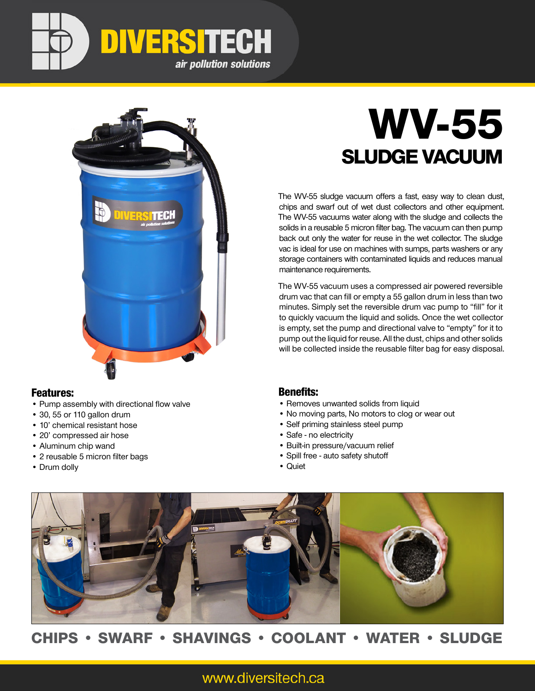



### Features:

- Pump assembly with directional flow valve
- 30, 55 or 110 gallon drum
- 10' chemical resistant hose
- 20' compressed air hose
- Aluminum chip wand
- 2 reusable 5 micron filter bags
- Drum dolly

# WV-55 SLUDGE VACUUM

The WV-55 sludge vacuum offers a fast, easy way to clean dust, chips and swarf out of wet dust collectors and other equipment. The WV-55 vacuums water along with the sludge and collects the solids in a reusable 5 micron filter bag. The vacuum can then pump back out only the water for reuse in the wet collector. The sludge vac is ideal for use on machines with sumps, parts washers or any storage containers with contaminated liquids and reduces manual maintenance requirements.

The WV-55 vacuum uses a compressed air powered reversible drum vac that can fill or empty a 55 gallon drum in less than two minutes. Simply set the reversible drum vac pump to "fill" for it to quickly vacuum the liquid and solids. Once the wet collector is empty, set the pump and directional valve to "empty" for it to pump out the liquid for reuse. All the dust, chips and other solids will be collected inside the reusable filter bag for easy disposal.

### Benefits:

- Removes unwanted solids from liquid
- No moving parts, No motors to clog or wear out
- Self priming stainless steel pump
- Safe no electricity
- Built-in pressure/vacuum relief
- Spill free auto safety shutoff
- Quiet



# CHIPS • SWARF • SHAVINGS • COOLANT • WATER • SLUDGE